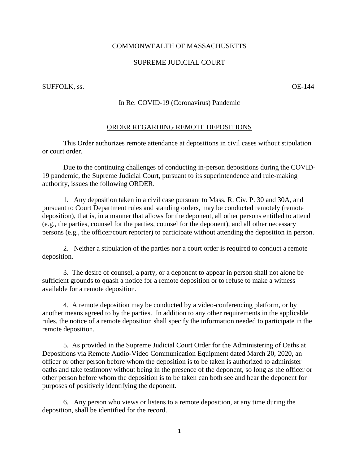## COMMONWEALTH OF MASSACHUSETTS

## SUPREME JUDICIAL COURT

SUFFOLK, ss.  $OE-144$ 

## In Re: COVID-19 (Coronavirus) Pandemic

## ORDER REGARDING REMOTE DEPOSITIONS

This Order authorizes remote attendance at depositions in civil cases without stipulation or court order.

Due to the continuing challenges of conducting in-person depositions during the COVID-19 pandemic, the Supreme Judicial Court, pursuant to its superintendence and rule-making authority, issues the following ORDER.

1. Any deposition taken in a civil case pursuant to Mass. R. Civ. P. 30 and 30A, and pursuant to Court Department rules and standing orders, may be conducted remotely (remote deposition), that is, in a manner that allows for the deponent, all other persons entitled to attend (e.g., the parties, counsel for the parties, counsel for the deponent), and all other necessary persons (e.g., the officer/court reporter) to participate without attending the deposition in person.

2. Neither a stipulation of the parties nor a court order is required to conduct a remote deposition.

3. The desire of counsel, a party, or a deponent to appear in person shall not alone be sufficient grounds to quash a notice for a remote deposition or to refuse to make a witness available for a remote deposition.

4. A remote deposition may be conducted by a video-conferencing platform, or by another means agreed to by the parties. In addition to any other requirements in the applicable rules, the notice of a remote deposition shall specify the information needed to participate in the remote deposition.

5. As provided in the Supreme Judicial Court Order for the Administering of Oaths at Depositions via Remote Audio-Video Communication Equipment dated March 20, 2020, an officer or other person before whom the deposition is to be taken is authorized to administer oaths and take testimony without being in the presence of the deponent, so long as the officer or other person before whom the deposition is to be taken can both see and hear the deponent for purposes of positively identifying the deponent.

6. Any person who views or listens to a remote deposition, at any time during the deposition, shall be identified for the record.